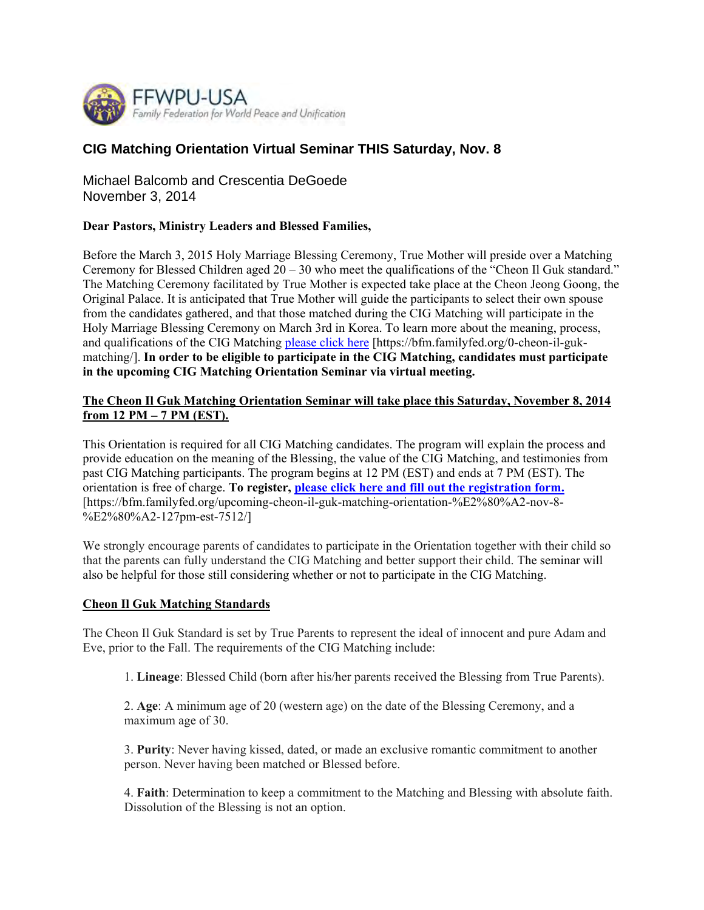

## **CIG Matching Orientation Virtual Seminar THIS Saturday, Nov. 8**

Michael Balcomb and Crescentia DeGoede November 3, 2014

## **Dear Pastors, Ministry Leaders and Blessed Families,**

Before the March 3, 2015 Holy Marriage Blessing Ceremony, True Mother will preside over a Matching Ceremony for Blessed Children aged  $20 - 30$  who meet the qualifications of the "Cheon Il Guk standard." The Matching Ceremony facilitated by True Mother is expected take place at the Cheon Jeong Goong, the Original Palace. It is anticipated that True Mother will guide the participants to select their own spouse from the candidates gathered, and that those matched during the CIG Matching will participate in the Holy Marriage Blessing Ceremony on March 3rd in Korea. To learn more about the meaning, process, and qualifications of the CIG Matching please click here [https://bfm.familyfed.org/0-cheon-il-gukmatching/]. **In order to be eligible to participate in the CIG Matching, candidates must participate in the upcoming CIG Matching Orientation Seminar via virtual meeting.**

## **The Cheon Il Guk Matching Orientation Seminar will take place this Saturday, November 8, 2014 from 12 PM – 7 PM (EST).**

This Orientation is required for all CIG Matching candidates. The program will explain the process and provide education on the meaning of the Blessing, the value of the CIG Matching, and testimonies from past CIG Matching participants. The program begins at 12 PM (EST) and ends at 7 PM (EST). The orientation is free of charge. **To register, please click here and fill out the registration form.** [https://bfm.familyfed.org/upcoming-cheon-il-guk-matching-orientation-%E2%80%A2-nov-8- %E2%80%A2-127pm-est-7512/]

We strongly encourage parents of candidates to participate in the Orientation together with their child so that the parents can fully understand the CIG Matching and better support their child. The seminar will also be helpful for those still considering whether or not to participate in the CIG Matching.

## **Cheon Il Guk Matching Standards**

The Cheon Il Guk Standard is set by True Parents to represent the ideal of innocent and pure Adam and Eve, prior to the Fall. The requirements of the CIG Matching include:

1. **Lineage**: Blessed Child (born after his/her parents received the Blessing from True Parents).

2. **Age**: A minimum age of 20 (western age) on the date of the Blessing Ceremony, and a maximum age of 30.

3. **Purity**: Never having kissed, dated, or made an exclusive romantic commitment to another person. Never having been matched or Blessed before.

4. **Faith**: Determination to keep a commitment to the Matching and Blessing with absolute faith. Dissolution of the Blessing is not an option.